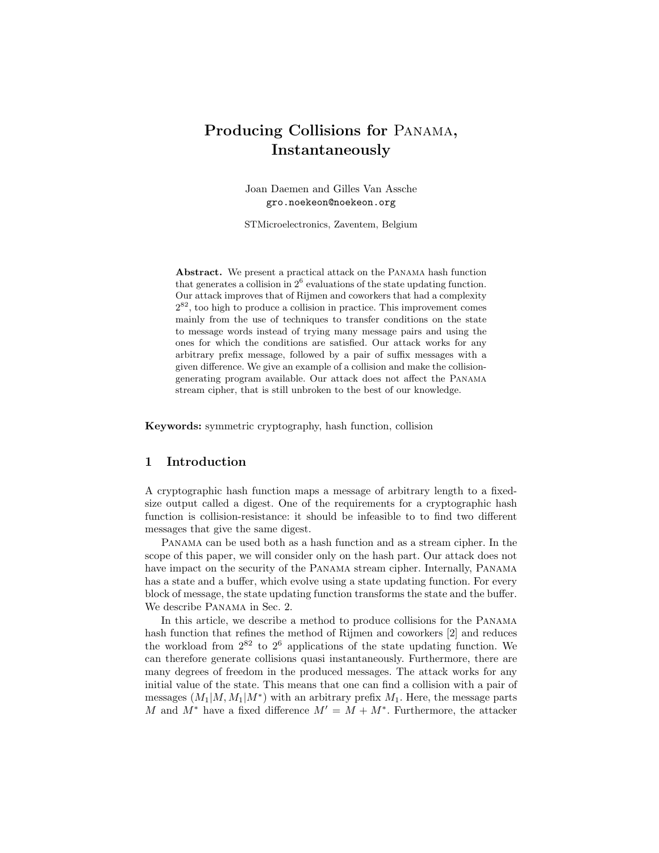# Producing Collisions for Panama, Instantaneously

Joan Daemen and Gilles Van Assche gro.noekeon@noekeon.org

STMicroelectronics, Zaventem, Belgium

Abstract. We present a practical attack on the Panama hash function that generates a collision in  $2^6$  evaluations of the state updating function. Our attack improves that of Rijmen and coworkers that had a complexity  $2^{82}$ , too high to produce a collision in practice. This improvement comes mainly from the use of techniques to transfer conditions on the state to message words instead of trying many message pairs and using the ones for which the conditions are satisfied. Our attack works for any arbitrary prefix message, followed by a pair of suffix messages with a given difference. We give an example of a collision and make the collisiongenerating program available. Our attack does not affect the Panama stream cipher, that is still unbroken to the best of our knowledge.

Keywords: symmetric cryptography, hash function, collision

# 1 Introduction

A cryptographic hash function maps a message of arbitrary length to a fixedsize output called a digest. One of the requirements for a cryptographic hash function is collision-resistance: it should be infeasible to to find two different messages that give the same digest.

Panama can be used both as a hash function and as a stream cipher. In the scope of this paper, we will consider only on the hash part. Our attack does not have impact on the security of the Panama stream cipher. Internally, Panama has a state and a buffer, which evolve using a state updating function. For every block of message, the state updating function transforms the state and the buffer. We describe Panama in Sec. 2.

In this article, we describe a method to produce collisions for the Panama hash function that refines the method of Rijmen and coworkers [2] and reduces the workload from  $2^{82}$  to  $2^6$  applications of the state updating function. We can therefore generate collisions quasi instantaneously. Furthermore, there are many degrees of freedom in the produced messages. The attack works for any initial value of the state. This means that one can find a collision with a pair of messages  $(M_1|M, M_1|M^*)$  with an arbitrary prefix  $M_1$ . Here, the message parts M and  $M^*$  have a fixed difference  $M' = M + M^*$ . Furthermore, the attacker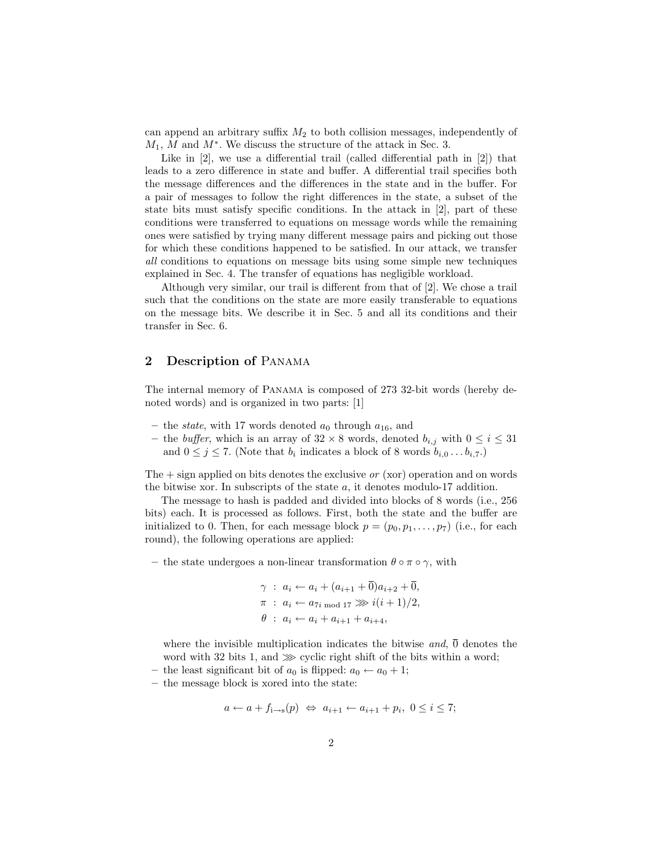can append an arbitrary suffix  $M_2$  to both collision messages, independently of  $M_1$ , M and  $M^*$ . We discuss the structure of the attack in Sec. 3.

Like in [2], we use a differential trail (called differential path in [2]) that leads to a zero difference in state and buffer. A differential trail specifies both the message differences and the differences in the state and in the buffer. For a pair of messages to follow the right differences in the state, a subset of the state bits must satisfy specific conditions. In the attack in [2], part of these conditions were transferred to equations on message words while the remaining ones were satisfied by trying many different message pairs and picking out those for which these conditions happened to be satisfied. In our attack, we transfer all conditions to equations on message bits using some simple new techniques explained in Sec. 4. The transfer of equations has negligible workload.

Although very similar, our trail is different from that of [2]. We chose a trail such that the conditions on the state are more easily transferable to equations on the message bits. We describe it in Sec. 5 and all its conditions and their transfer in Sec. 6.

# 2 Description of Panama

The internal memory of Panama is composed of 273 32-bit words (hereby denoted words) and is organized in two parts: [1]

- the *state*, with 17 words denoted  $a_0$  through  $a_{16}$ , and
- the *buffer*, which is an array of  $32 \times 8$  words, denoted  $b_{i,j}$  with  $0 \leq i \leq 31$ and  $0 \leq j \leq 7$ . (Note that  $b_i$  indicates a block of 8 words  $b_{i,0} \ldots b_{i,7}$ .)

The  $+$  sign applied on bits denotes the exclusive or (xor) operation and on words the bitwise xor. In subscripts of the state a, it denotes modulo-17 addition.

The message to hash is padded and divided into blocks of 8 words (i.e., 256 bits) each. It is processed as follows. First, both the state and the buffer are initialized to 0. Then, for each message block  $p = (p_0, p_1, \ldots, p_7)$  (i.e., for each round), the following operations are applied:

– the state undergoes a non-linear transformation  $\theta \circ \pi \circ \gamma$ , with

$$
\gamma : a_i \leftarrow a_i + (a_{i+1} + \overline{0})a_{i+2} + \overline{0},
$$
  
\n
$$
\pi : a_i \leftarrow a_{7i \mod 17} \gg i(i+1)/2,
$$
  
\n
$$
\theta : a_i \leftarrow a_i + a_{i+1} + a_{i+4},
$$

where the invisible multiplication indicates the bitwise and,  $\overline{0}$  denotes the word with 32 bits 1, and ≫ cyclic right shift of the bits within a word;

- the least significant bit of  $a_0$  is flipped:  $a_0 \leftarrow a_0 + 1$ ;
- the message block is xored into the state:

$$
a \leftarrow a + f_{i \rightarrow s}(p) \Leftrightarrow a_{i+1} \leftarrow a_{i+1} + p_i, 0 \le i \le 7;
$$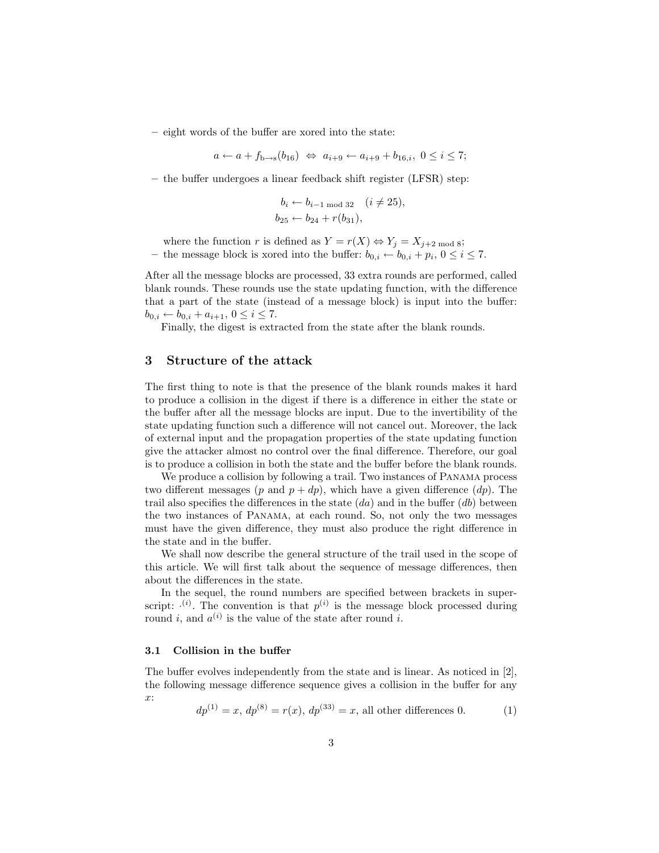– eight words of the buffer are xored into the state:

$$
a \leftarrow a + f_{b \rightarrow s}(b_{16}) \Leftrightarrow a_{i+9} \leftarrow a_{i+9} + b_{16,i}, 0 \le i \le 7;
$$

– the buffer undergoes a linear feedback shift register (LFSR) step:

$$
b_i \leftarrow b_{i-1 \mod 32} \quad (i \neq 25),
$$
  
 $b_{25} \leftarrow b_{24} + r(b_{31}),$ 

where the function r is defined as  $Y = r(X) \Leftrightarrow Y_j = X_{j+2 \text{ mod } 8};$ – the message block is xored into the buffer:  $b_{0,i} \leftarrow b_{0,i} + p_i, 0 \le i \le 7$ .

After all the message blocks are processed, 33 extra rounds are performed, called blank rounds. These rounds use the state updating function, with the difference that a part of the state (instead of a message block) is input into the buffer:  $b_{0,i} \leftarrow b_{0,i} + a_{i+1}, 0 \leq i \leq 7.$ 

Finally, the digest is extracted from the state after the blank rounds.

## 3 Structure of the attack

The first thing to note is that the presence of the blank rounds makes it hard to produce a collision in the digest if there is a difference in either the state or the buffer after all the message blocks are input. Due to the invertibility of the state updating function such a difference will not cancel out. Moreover, the lack of external input and the propagation properties of the state updating function give the attacker almost no control over the final difference. Therefore, our goal is to produce a collision in both the state and the buffer before the blank rounds.

We produce a collision by following a trail. Two instances of Panama process two different messages (p and  $p + dp$ ), which have a given difference (dp). The trail also specifies the differences in the state  $(da)$  and in the buffer  $(db)$  between the two instances of Panama, at each round. So, not only the two messages must have the given difference, they must also produce the right difference in the state and in the buffer.

We shall now describe the general structure of the trail used in the scope of this article. We will first talk about the sequence of message differences, then about the differences in the state.

In the sequel, the round numbers are specified between brackets in superscript:  $\cdot^{(i)}$ . The convention is that  $p^{(i)}$  is the message block processed during round *i*, and  $a^{(i)}$  is the value of the state after round *i*.

#### 3.1 Collision in the buffer

The buffer evolves independently from the state and is linear. As noticed in [2], the following message difference sequence gives a collision in the buffer for any x:

$$
dp^{(1)} = x, dp^{(8)} = r(x), dp^{(33)} = x,
$$
 all other differences 0. (1)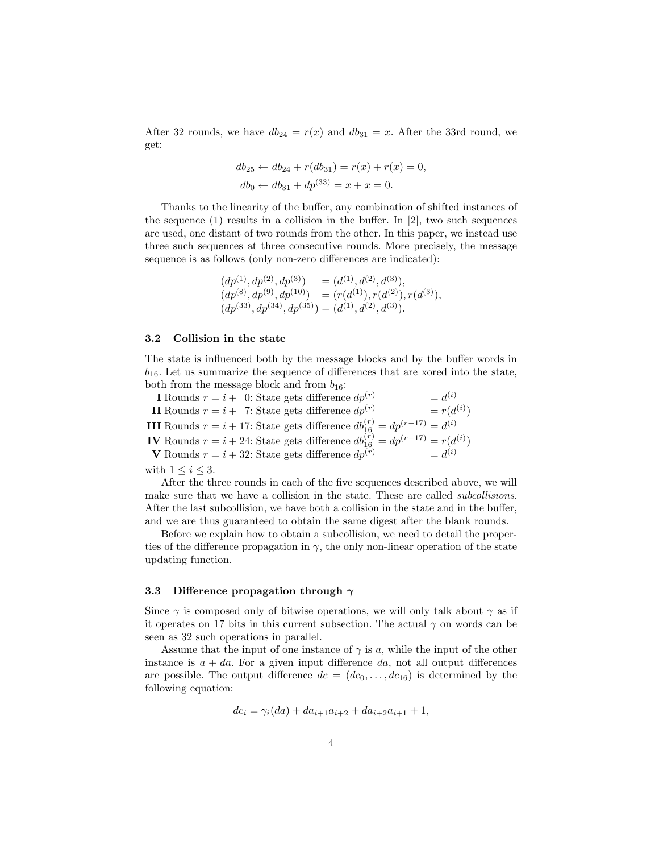After 32 rounds, we have  $db_{24} = r(x)$  and  $db_{31} = x$ . After the 33rd round, we get:

$$
db_{25} \leftarrow db_{24} + r(db_{31}) = r(x) + r(x) = 0,
$$
  

$$
db_0 \leftarrow db_{31} + dp^{(33)} = x + x = 0.
$$

Thanks to the linearity of the buffer, any combination of shifted instances of the sequence  $(1)$  results in a collision in the buffer. In [2], two such sequences are used, one distant of two rounds from the other. In this paper, we instead use three such sequences at three consecutive rounds. More precisely, the message sequence is as follows (only non-zero differences are indicated):

$$
(dp(1), dp(2), dp(3)) = (d(1), d(2), d(3)),(dp(8), dp(9), dp(10)) = (r(d(1)), r(d(2)), r(d(3)),(dp(33), dp(34), dp(35)) = (d(1), d(2), d(3)).
$$

#### 3.2 Collision in the state

The state is influenced both by the message blocks and by the buffer words in  $b_{16}$ . Let us summarize the sequence of differences that are xored into the state, both from the message block and from  $b_{16}$ :

**I** Rounds  $r = i + 0$ : State gets difference  $dp^{(r)}$  $= d^{(i)}$ II Rounds  $r = i + 7$ : State gets difference  $dp^{(r)}$  $^{\left( i\right) })$ **III** Rounds  $r = i + 17$ : State gets difference  $db_{16}^{(r)} = dp^{(r-17)} = d^{(i)}$ **IV** Rounds  $r = i + 24$ : State gets difference  $db_{16}^{(r)} = dp^{(r-17)} = r(d^{(i)})$ **V** Rounds  $r = i + 32$ : State gets difference  $dp^{(r)}$   $= d^{(i)}$ 

with  $1 \leq i \leq 3$ .

After the three rounds in each of the five sequences described above, we will make sure that we have a collision in the state. These are called subcollisions. After the last subcollision, we have both a collision in the state and in the buffer, and we are thus guaranteed to obtain the same digest after the blank rounds.

Before we explain how to obtain a subcollision, we need to detail the properties of the difference propagation in  $\gamma$ , the only non-linear operation of the state updating function.

### 3.3 Difference propagation through  $\gamma$

Since  $\gamma$  is composed only of bitwise operations, we will only talk about  $\gamma$  as if it operates on 17 bits in this current subsection. The actual  $\gamma$  on words can be seen as 32 such operations in parallel.

Assume that the input of one instance of  $\gamma$  is a, while the input of the other instance is  $a + da$ . For a given input difference da, not all output differences are possible. The output difference  $dc = (dc_0, \ldots, dc_{16})$  is determined by the following equation:

$$
dc_i = \gamma_i(da) + da_{i+1}a_{i+2} + da_{i+2}a_{i+1} + 1,
$$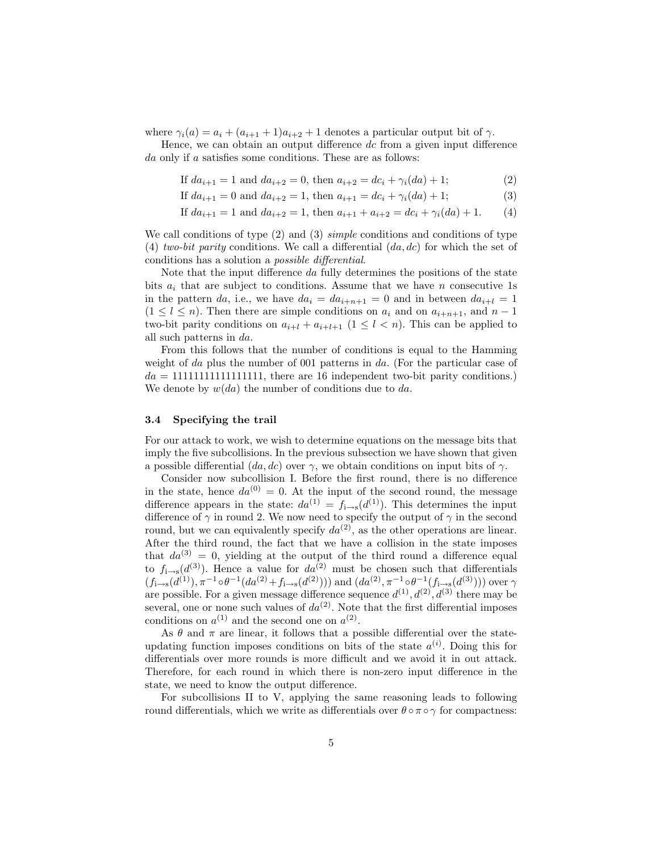where  $\gamma_i(a) = a_i + (a_{i+1} + 1)a_{i+2} + 1$  denotes a particular output bit of  $\gamma$ .

Hence, we can obtain an output difference dc from a given input difference da only if a satisfies some conditions. These are as follows:

If  $da_{i+1} = 1$  and  $da_{i+2} = 0$ , then  $a_{i+2} = dc_i + \gamma_i(da) + 1$ ; (2)

If  $da_{i+1} = 0$  and  $da_{i+2} = 1$ , then  $a_{i+1} = dc_i + \gamma_i(da) + 1;$  (3)

If 
$$
da_{i+1} = 1
$$
 and  $da_{i+2} = 1$ , then  $a_{i+1} + a_{i+2} = dc_i + \gamma_i(da) + 1$ . (4)

We call conditions of type  $(2)$  and  $(3)$  *simple* conditions and conditions of type (4) two-bit parity conditions. We call a differential  $(da, dc)$  for which the set of conditions has a solution a possible differential.

Note that the input difference da fully determines the positions of the state bits  $a_i$  that are subject to conditions. Assume that we have n consecutive 1s in the pattern da, i.e., we have  $da_i = da_{i+n+1} = 0$  and in between  $da_{i+l} = 1$  $(1 \leq l \leq n)$ . Then there are simple conditions on  $a_i$  and on  $a_{i+n+1}$ , and  $n-1$ two-bit parity conditions on  $a_{i+l} + a_{i+l+1}$   $(1 \leq l \leq n)$ . This can be applied to all such patterns in da.

From this follows that the number of conditions is equal to the Hamming weight of da plus the number of 001 patterns in da. (For the particular case of  $da = 1111111111111111$ , there are 16 independent two-bit parity conditions.) We denote by  $w(da)$  the number of conditions due to da.

#### 3.4 Specifying the trail

For our attack to work, we wish to determine equations on the message bits that imply the five subcollisions. In the previous subsection we have shown that given a possible differential  $(da, dc)$  over  $\gamma$ , we obtain conditions on input bits of  $\gamma$ .

Consider now subcollision I. Before the first round, there is no difference in the state, hence  $da^{(0)} = 0$ . At the input of the second round, the message difference appears in the state:  $da^{(1)} = f_{i \to s}(d^{(1)})$ . This determines the input difference of  $\gamma$  in round 2. We now need to specify the output of  $\gamma$  in the second round, but we can equivalently specify  $da^{(2)}$ , as the other operations are linear. After the third round, the fact that we have a collision in the state imposes that  $da^{(3)} = 0$ , yielding at the output of the third round a difference equal to  $f_{i\rightarrow s}(d^{(3)})$ . Hence a value for  $da^{(2)}$  must be chosen such that differentials  $(f_{i\to s}(d^{(1)}), \pi^{-1} \circ \theta^{-1}(da^{(2)} + f_{i\to s}(d^{(2)})))$  and  $(da^{(2)}, \pi^{-1} \circ \theta^{-1}(f_{i\to s}(d^{(3)})))$  over  $\gamma$ are possible. For a given message difference sequence  $d^{(1)}$ ,  $d^{(2)}$ ,  $d^{(3)}$  there may be several, one or none such values of  $da^{(2)}$ . Note that the first differential imposes conditions on  $a^{(1)}$  and the second one on  $a^{(2)}$ .

As  $\theta$  and  $\pi$  are linear, it follows that a possible differential over the stateupdating function imposes conditions on bits of the state  $a^{(i)}$ . Doing this for differentials over more rounds is more difficult and we avoid it in out attack. Therefore, for each round in which there is non-zero input difference in the state, we need to know the output difference.

For subcollisions II to V, applying the same reasoning leads to following round differentials, which we write as differentials over  $\theta \circ \pi \circ \gamma$  for compactness: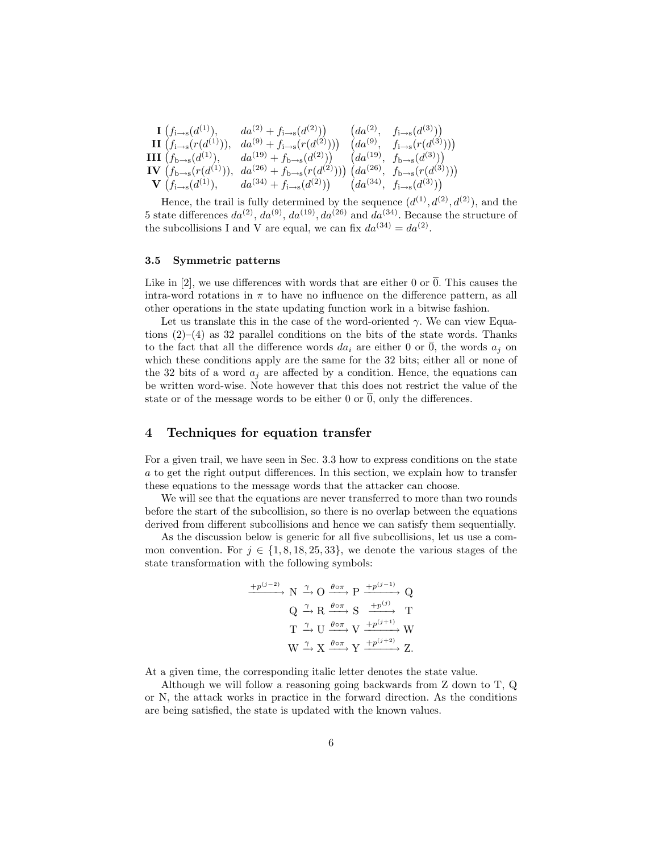| $\mathbf{1} (f_{i \to s}(d^{(1)}),$     | $da^{(2)} + f_{i \to s}(d^{(2)}))$               | $(da^{(2)}$  | $f_{i\to s}(d^{(3)}))$              |
|-----------------------------------------|--------------------------------------------------|--------------|-------------------------------------|
| $\mathbf{II} (f_{i \to s}(r(d^{(1)})),$ | $da^{(9)} + f_{i \to s}(r(d^{(2)}))$             | $(da^{(9)}$  | $f_{i\to s}(r(d^{(3)}))$            |
| <b>III</b> $(f_{b \to s}(d^{(1)}),$     | $da^{(19)} + f_{b \to s}(d^{(2)})$               | $(da^{(19)}$ | $\therefore$ $f_{b \to s}(d^{(3)})$ |
| <b>IV</b> $(f_{b \to s}(r(d^{(1)})),$   | $da^{(26)} + f_{b \to s}(r(d^{(2)})) (da^{(26)}$ |              | $f_{b\to s}(r(d^{(3)}))$            |
| <b>V</b> $(f_{i\to s}(d^{(1)}),$        | $da^{(34)} + f_{i \to s}(d^{(2)}))$              | $(da^{(34)}$ | $f_{i\to s}(d^{(3)}))$              |

Hence, the trail is fully determined by the sequence  $(d^{(1)}, d^{(2)}, d^{(2)})$ , and the 5 state differences  $da^{(2)}$ ,  $da^{(9)}$ ,  $da^{(19)}$ ,  $da^{(26)}$  and  $da^{(34)}$ . Because the structure of the subcollisions I and V are equal, we can fix  $da^{(34)} = da^{(2)}$ .

#### 3.5 Symmetric patterns

Like in [2], we use differences with words that are either 0 or  $\overline{0}$ . This causes the intra-word rotations in  $\pi$  to have no influence on the difference pattern, as all other operations in the state updating function work in a bitwise fashion.

Let us translate this in the case of the word-oriented  $\gamma$ . We can view Equations  $(2)$ – $(4)$  as 32 parallel conditions on the bits of the state words. Thanks to the fact that all the difference words  $da_i$  are either 0 or  $\overline{0}$ , the words  $a_j$  on which these conditions apply are the same for the 32 bits; either all or none of the 32 bits of a word  $a_i$  are affected by a condition. Hence, the equations can be written word-wise. Note however that this does not restrict the value of the state or of the message words to be either 0 or  $\overline{0}$ , only the differences.

## 4 Techniques for equation transfer

For a given trail, we have seen in Sec. 3.3 how to express conditions on the state a to get the right output differences. In this section, we explain how to transfer these equations to the message words that the attacker can choose.

We will see that the equations are never transferred to more than two rounds before the start of the subcollision, so there is no overlap between the equations derived from different subcollisions and hence we can satisfy them sequentially.

As the discussion below is generic for all five subcollisions, let us use a common convention. For  $j \in \{1, 8, 18, 25, 33\}$ , we denote the various stages of the state transformation with the following symbols:

$$
\frac{+p^{(j-2)}}{N} \xrightarrow{\gamma} O \xrightarrow{\theta \circ \pi} P \xrightarrow{+p^{(j-1)}} Q
$$
  

$$
Q \xrightarrow{\gamma} R \xrightarrow{\theta \circ \pi} S \xrightarrow{+p^{(j)}} T
$$
  

$$
T \xrightarrow{\gamma} U \xrightarrow{\theta \circ \pi} V \xrightarrow{+p^{(j+1)}} W
$$
  

$$
W \xrightarrow{\gamma} X \xrightarrow{\theta \circ \pi} Y \xrightarrow{+p^{(j+2)}} Z.
$$

At a given time, the corresponding italic letter denotes the state value.

Although we will follow a reasoning going backwards from Z down to T, Q or N, the attack works in practice in the forward direction. As the conditions are being satisfied, the state is updated with the known values.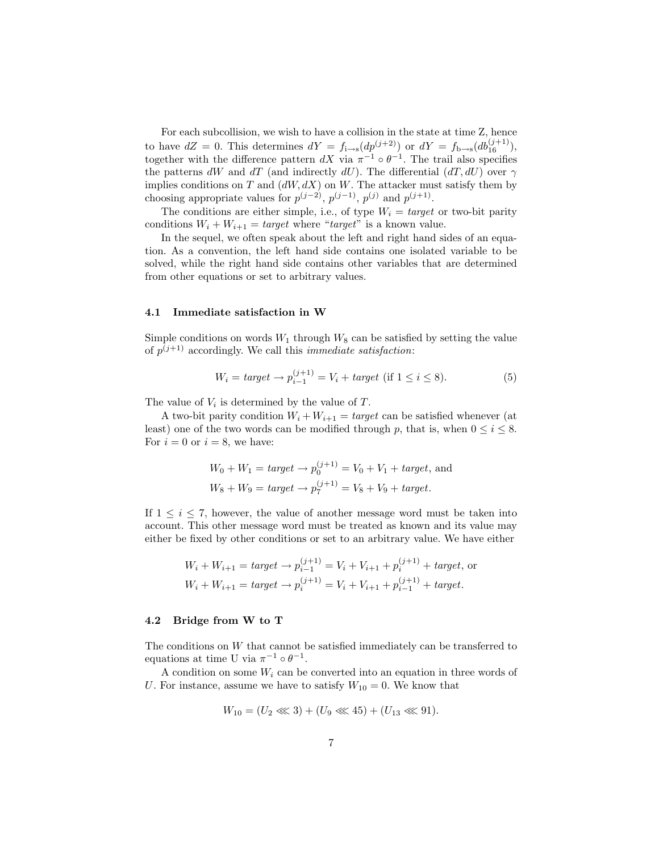For each subcollision, we wish to have a collision in the state at time Z, hence to have  $dZ = 0$ . This determines  $dY = f_{i \to s}(dp^{(j+2)})$  or  $dY = f_{b \to s}(db_{16}^{(j+1)})$ , together with the difference pattern  $dX$  via  $\pi^{-1} \circ \theta^{-1}$ . The trail also specifies the patterns dW and dT (and indirectly dU). The differential  $(dT, dU)$  over  $\gamma$ implies conditions on T and  $(dW, dX)$  on W. The attacker must satisfy them by choosing appropriate values for  $p^{(j-2)}$ ,  $p^{(j-1)}$ ,  $p^{(j)}$  and  $p^{(j+1)}$ .

The conditions are either simple, i.e., of type  $W_i = target$  or two-bit parity conditions  $W_i + W_{i+1} = target$  where "target" is a known value.

In the sequel, we often speak about the left and right hand sides of an equation. As a convention, the left hand side contains one isolated variable to be solved, while the right hand side contains other variables that are determined from other equations or set to arbitrary values.

#### 4.1 Immediate satisfaction in W

Simple conditions on words  $W_1$  through  $W_8$  can be satisfied by setting the value of  $p^{(j+1)}$  accordingly. We call this *immediate satisfaction*:

$$
W_i = target \to p_{i-1}^{(j+1)} = V_i + target \text{ (if } 1 \le i \le 8\text{).}
$$
 (5)

The value of  $V_i$  is determined by the value of  $T$ .

A two-bit parity condition  $W_i + W_{i+1} = target$  can be satisfied whenever (at least) one of the two words can be modified through p, that is, when  $0 \leq i \leq 8$ . For  $i = 0$  or  $i = 8$ , we have:

$$
W_0 + W_1 = target \rightarrow p_0^{(j+1)} = V_0 + V_1 + target, \text{ and}
$$
  

$$
W_8 + W_9 = target \rightarrow p_7^{(j+1)} = V_8 + V_9 + target.
$$

If  $1 \leq i \leq 7$ , however, the value of another message word must be taken into account. This other message word must be treated as known and its value may either be fixed by other conditions or set to an arbitrary value. We have either

$$
W_i + W_{i+1} = target \rightarrow p_{i-1}^{(j+1)} = V_i + V_{i+1} + p_i^{(j+1)} + target, \text{ or}
$$
  

$$
W_i + W_{i+1} = target \rightarrow p_i^{(j+1)} = V_i + V_{i+1} + p_{i-1}^{(j+1)} + target.
$$

## 4.2 Bridge from W to T

The conditions on W that cannot be satisfied immediately can be transferred to equations at time U via  $\pi^{-1} \circ \theta^{-1}$ .

A condition on some  $W_i$  can be converted into an equation in three words of U. For instance, assume we have to satisfy  $W_{10} = 0$ . We know that

$$
W_{10} = (U_2 \lll 3) + (U_9 \lll 45) + (U_{13} \lll 91).
$$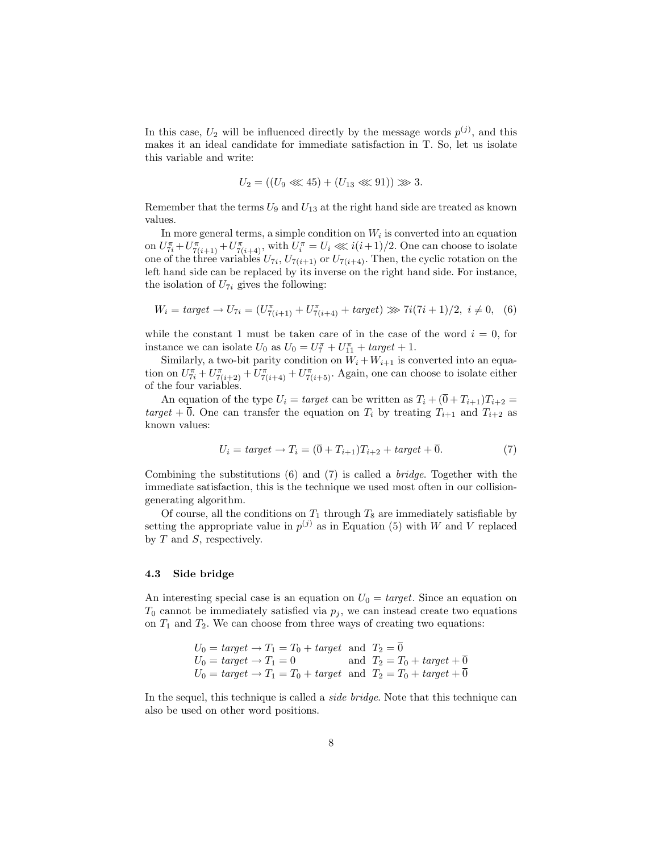In this case,  $U_2$  will be influenced directly by the message words  $p^{(j)}$ , and this makes it an ideal candidate for immediate satisfaction in T. So, let us isolate this variable and write:

$$
U_2 = ((U_9 \lll 45) + (U_{13} \lll 91)) \ggg 3.
$$

Remember that the terms  $U_9$  and  $U_{13}$  at the right hand side are treated as known values.

In more general terms, a simple condition on  $W_i$  is converted into an equation on  $U_{7i}^{\pi}+U_{7(i+1)}^{\pi}+U_{7(i+4)}^{\pi}$ , with  $U_i^{\pi}=U_i \ll i(i+1)/2$ . One can choose to isolate one of the three variables  $U_{7i}$ ,  $U_{7(i+1)}$  or  $U_{7(i+4)}$ . Then, the cyclic rotation on the left hand side can be replaced by its inverse on the right hand side. For instance, the isolation of  $U_{7i}$  gives the following:

$$
W_i = target \rightarrow U_{7i} = (U_{7(i+1)}^{\pi} + U_{7(i+4)}^{\pi} + target) \gg 7i(7i+1)/2, i \neq 0, (6)
$$

while the constant 1 must be taken care of in the case of the word  $i = 0$ , for instance we can isolate  $U_0$  as  $U_0 = U_7^{\pi} + U_{11}^{\pi} + target + 1$ .

Similarly, a two-bit parity condition on  $W_i + W_{i+1}$  is converted into an equation on  $U_{7i}^{\pi}+U_{7(i+2)}^{\pi}+U_{7(i+4)}^{\pi}+U_{7(i+5)}^{\pi}$ . Again, one can choose to isolate either of the four variables.

An equation of the type  $U_i = target$  can be written as  $T_i + (\overline{0} + T_{i+1})T_{i+2} =$ target +  $\overline{0}$ . One can transfer the equation on  $T_i$  by treating  $T_{i+1}$  and  $T_{i+2}$  as known values:

$$
U_i = target \rightarrow T_i = (\overline{0} + T_{i+1})T_{i+2} + target + \overline{0}.
$$
\n
$$
(7)
$$

Combining the substitutions  $(6)$  and  $(7)$  is called a *bridge*. Together with the immediate satisfaction, this is the technique we used most often in our collisiongenerating algorithm.

Of course, all the conditions on  $T_1$  through  $T_8$  are immediately satisfiable by setting the appropriate value in  $p^{(j)}$  as in Equation (5) with W and V replaced by  $T$  and  $S$ , respectively.

#### 4.3 Side bridge

An interesting special case is an equation on  $U_0 = target$ . Since an equation on  $T_0$  cannot be immediately satisfied via  $p_i$ , we can instead create two equations on  $T_1$  and  $T_2$ . We can choose from three ways of creating two equations:

$$
U_0 = target \rightarrow T_1 = T_0 + target \text{ and } T_2 = \overline{0}
$$
  
\n
$$
U_0 = target \rightarrow T_1 = 0 \qquad \text{and } T_2 = T_0 + target + \overline{0}
$$
  
\n
$$
U_0 = target \rightarrow T_1 = T_0 + target \text{ and } T_2 = T_0 + target + \overline{0}
$$

In the sequel, this technique is called a *side bridge*. Note that this technique can also be used on other word positions.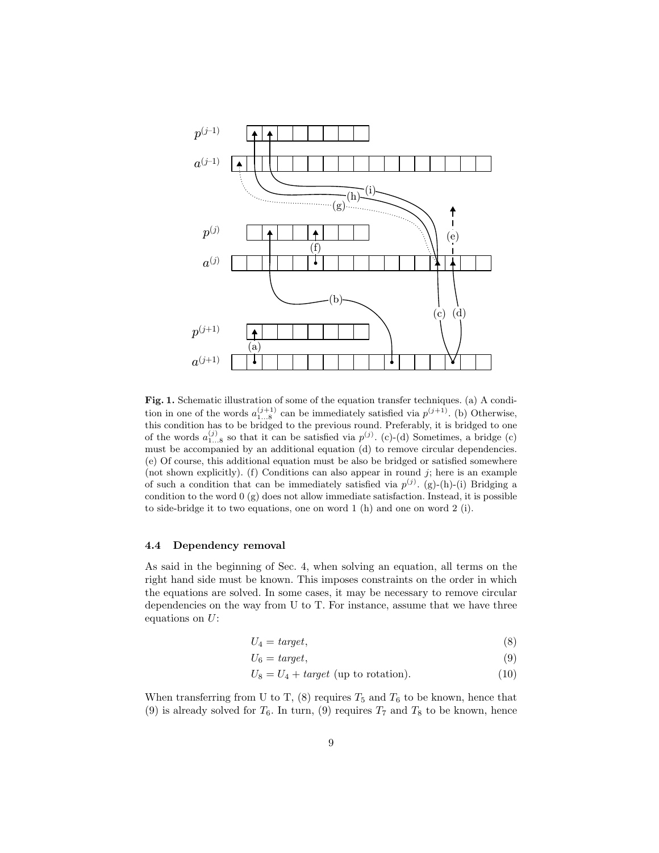

Fig. 1. Schematic illustration of some of the equation transfer techniques. (a) A condition in one of the words  $a_{1...8}^{(j+1)}$  can be immediately satisfied via  $p^{(j+1)}$ . (b) Otherwise, this condition has to be bridged to the previous round. Preferably, it is bridged to one of the words  $a_{1...8}^{(j)}$  so that it can be satisfied via  $p^{(j)}$ . (c)-(d) Sometimes, a bridge (c) must be accompanied by an additional equation (d) to remove circular dependencies. (e) Of course, this additional equation must be also be bridged or satisfied somewhere (not shown explicitly). (f) Conditions can also appear in round  $j$ ; here is an example of such a condition that can be immediately satisfied via  $p^{(j)}$ . (g)-(h)-(i) Bridging a condition to the word  $(0)(g)$  does not allow immediate satisfaction. Instead, it is possible to side-bridge it to two equations, one on word 1 (h) and one on word 2 (i).

## 4.4 Dependency removal

As said in the beginning of Sec. 4, when solving an equation, all terms on the right hand side must be known. This imposes constraints on the order in which the equations are solved. In some cases, it may be necessary to remove circular dependencies on the way from U to T. For instance, assume that we have three equations on  $U$ :

$$
U_4 = target,\tag{8}
$$

$$
U_6 = target,\tag{9}
$$

$$
U_8 = U_4 + target \text{ (up to rotation)}.
$$
 (10)

When transferring from U to T,  $(8)$  requires  $T_5$  and  $T_6$  to be known, hence that (9) is already solved for  $T_6$ . In turn, (9) requires  $T_7$  and  $T_8$  to be known, hence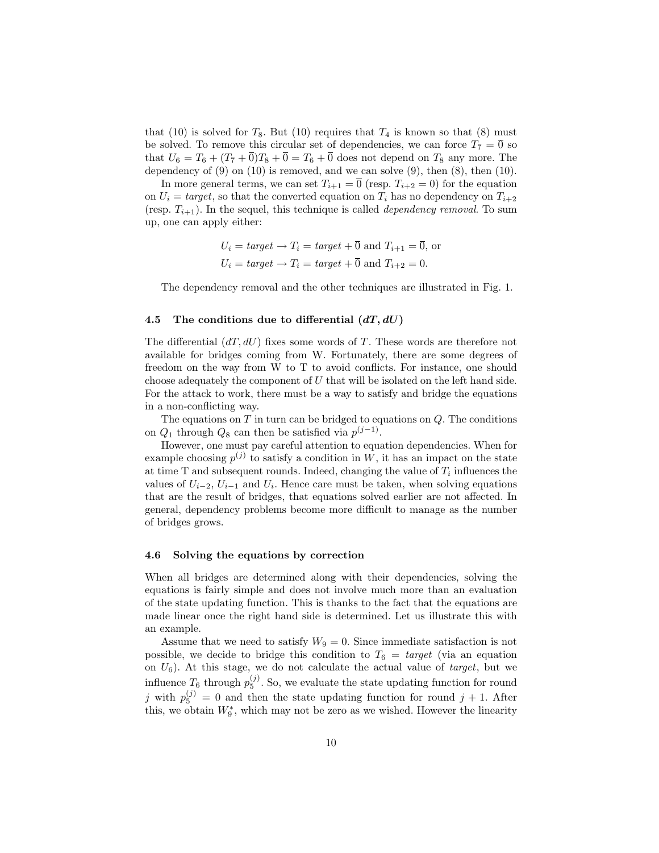that (10) is solved for  $T_8$ . But (10) requires that  $T_4$  is known so that (8) must be solved. To remove this circular set of dependencies, we can force  $T_7 = \overline{0}$  so that  $U_6 = T_6 + (T_7 + \overline{0})T_8 + \overline{0} = T_6 + \overline{0}$  does not depend on  $T_8$  any more. The dependency of  $(9)$  on  $(10)$  is removed, and we can solve  $(9)$ , then  $(8)$ , then  $(10)$ .

In more general terms, we can set  $T_{i+1} = \overline{0}$  (resp.  $T_{i+2} = 0$ ) for the equation on  $U_i = target$ , so that the converted equation on  $T_i$  has no dependency on  $T_{i+2}$ (resp.  $T_{i+1}$ ). In the sequel, this technique is called *dependency removal*. To sum up, one can apply either:

$$
U_i = target \rightarrow T_i = target + \overline{0}
$$
 and  $T_{i+1} = \overline{0}$ , or  
\n $U_i = target \rightarrow T_i = target + \overline{0}$  and  $T_{i+2} = 0$ .

The dependency removal and the other techniques are illustrated in Fig. 1.

#### 4.5 The conditions due to differential  $(dT, dU)$

The differential  $(dT, dU)$  fixes some words of T. These words are therefore not available for bridges coming from W. Fortunately, there are some degrees of freedom on the way from W to T to avoid conflicts. For instance, one should choose adequately the component of  $U$  that will be isolated on the left hand side. For the attack to work, there must be a way to satisfy and bridge the equations in a non-conflicting way.

The equations on  $T$  in turn can be bridged to equations on  $Q$ . The conditions on  $Q_1$  through  $Q_8$  can then be satisfied via  $p^{(j-1)}$ .

However, one must pay careful attention to equation dependencies. When for example choosing  $p^{(j)}$  to satisfy a condition in W, it has an impact on the state at time  $T$  and subsequent rounds. Indeed, changing the value of  $T_i$  influences the values of  $U_{i-2}$ ,  $U_{i-1}$  and  $U_i$ . Hence care must be taken, when solving equations that are the result of bridges, that equations solved earlier are not affected. In general, dependency problems become more difficult to manage as the number of bridges grows.

## 4.6 Solving the equations by correction

When all bridges are determined along with their dependencies, solving the equations is fairly simple and does not involve much more than an evaluation of the state updating function. This is thanks to the fact that the equations are made linear once the right hand side is determined. Let us illustrate this with an example.

Assume that we need to satisfy  $W_9 = 0$ . Since immediate satisfaction is not possible, we decide to bridge this condition to  $T_6 = target$  (via an equation on  $U_6$ ). At this stage, we do not calculate the actual value of *target*, but we influence  $T_6$  through  $p_5^{(j)}$ . So, we evaluate the state updating function for round j with  $p_5^{(j)} = 0$  and then the state updating function for round  $j + 1$ . After this, we obtain  $W_9^*$ , which may not be zero as we wished. However the linearity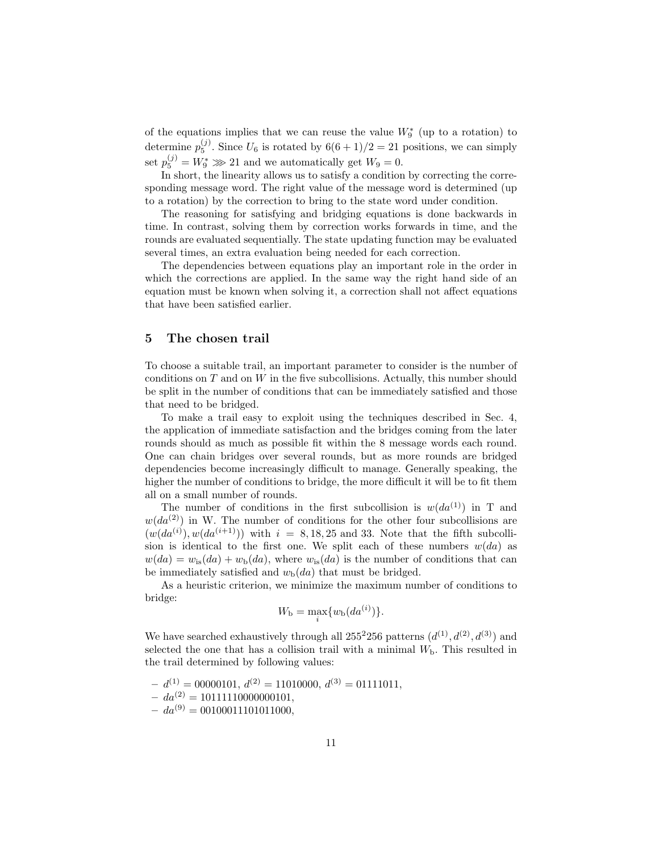of the equations implies that we can reuse the value  $W_9^*$  (up to a rotation) to determine  $p_5^{(j)}$ . Since  $U_6$  is rotated by  $6(6+1)/2 = 21$  positions, we can simply set  $p_5^{(j)} = W_9^* \gg 21$  and we automatically get  $W_9 = 0$ .

In short, the linearity allows us to satisfy a condition by correcting the corresponding message word. The right value of the message word is determined (up to a rotation) by the correction to bring to the state word under condition.

The reasoning for satisfying and bridging equations is done backwards in time. In contrast, solving them by correction works forwards in time, and the rounds are evaluated sequentially. The state updating function may be evaluated several times, an extra evaluation being needed for each correction.

The dependencies between equations play an important role in the order in which the corrections are applied. In the same way the right hand side of an equation must be known when solving it, a correction shall not affect equations that have been satisfied earlier.

## 5 The chosen trail

To choose a suitable trail, an important parameter to consider is the number of conditions on  $T$  and on  $W$  in the five subcollisions. Actually, this number should be split in the number of conditions that can be immediately satisfied and those that need to be bridged.

To make a trail easy to exploit using the techniques described in Sec. 4, the application of immediate satisfaction and the bridges coming from the later rounds should as much as possible fit within the 8 message words each round. One can chain bridges over several rounds, but as more rounds are bridged dependencies become increasingly difficult to manage. Generally speaking, the higher the number of conditions to bridge, the more difficult it will be to fit them all on a small number of rounds.

The number of conditions in the first subcollision is  $w(da^{(1)})$  in T and  $w(da^{(2)})$  in W. The number of conditions for the other four subcollisions are  $(w(da^{(i)}), w(da^{(i+1)}))$  with  $i = 8, 18, 25$  and 33. Note that the fifth subcollision is identical to the first one. We split each of these numbers  $w(da)$  as  $w(da) = w_{is}(da) + w_{b}(da)$ , where  $w_{is}(da)$  is the number of conditions that can be immediately satisfied and  $w_{\rm b}(da)$  that must be bridged.

As a heuristic criterion, we minimize the maximum number of conditions to bridge:

$$
W_{\mathbf{b}} = \max_{i} \{ w_{\mathbf{b}}(da^{(i)}) \}.
$$

We have searched exhaustively through all  $255^2256$  patterns  $(d^{(1)}, d^{(2)}, d^{(3)})$  and selected the one that has a collision trail with a minimal  $W<sub>b</sub>$ . This resulted in the trail determined by following values:

 $d^{(1)} = 00000101, d^{(2)} = 11010000, d^{(3)} = 01111011,$  $-da^{(2)} = 10111110000000101,$  $-da^{(9)} = 00100011101011000,$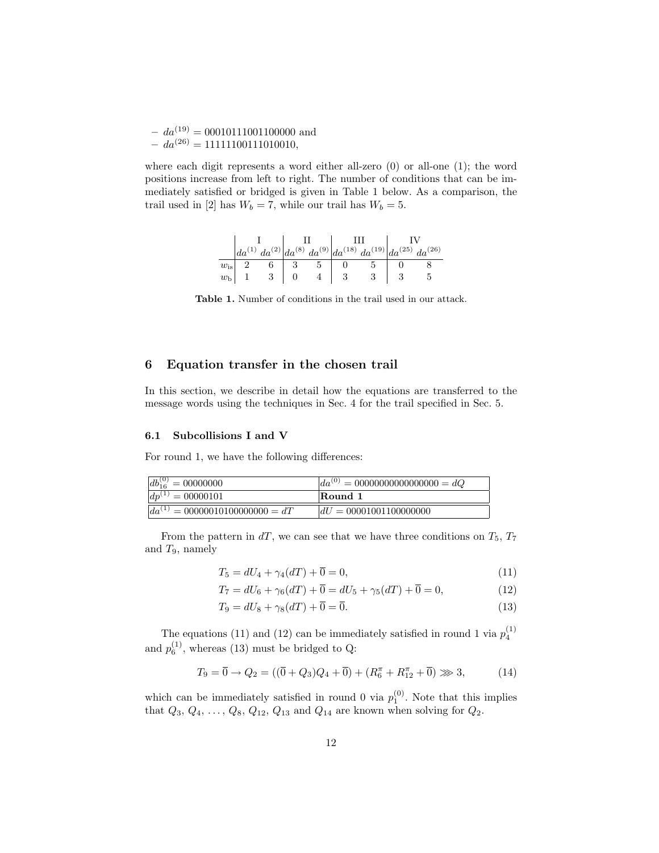–  $da^{(19)} = 00010111001100000$  and  $-da^{(26)} = 11111100111010010,$ 

where each digit represents a word either all-zero (0) or all-one (1); the word positions increase from left to right. The number of conditions that can be immediately satisfied or bridged is given in Table 1 below. As a comparison, the trail used in [2] has  $W_b = 7$ , while our trail has  $W_b = 5$ .

|              |  |  | $da^{(2)} da^{(8)}da^{(9)} da^{(18)}da^{(19)} da^{(25)}da^{(26)}$ |  |
|--------------|--|--|-------------------------------------------------------------------|--|
| $w_{\rm is}$ |  |  |                                                                   |  |
| $w_{\rm b}$  |  |  |                                                                   |  |

Table 1. Number of conditions in the trail used in our attack.

# 6 Equation transfer in the chosen trail

In this section, we describe in detail how the equations are transferred to the message words using the techniques in Sec. 4 for the trail specified in Sec. 5.

#### 6.1 Subcollisions I and V

For round 1, we have the following differences:

| $db_{16}^{(0)} = 00000000$          | $\overline{da^{(0)}} = 00000000000000000 = dQ$ |
|-------------------------------------|------------------------------------------------|
| $dp^{(1)} = 00000101$               | Round 1                                        |
| $da^{(1)} = 00000010100000000 = dT$ | $dU = 00001001100000000$                       |

From the pattern in  $dT$ , we can see that we have three conditions on  $T_5$ ,  $T_7$ and  $T_9$ , namely

$$
T_5 = dU_4 + \gamma_4(dT) + \overline{0} = 0,\t(11)
$$

$$
T_7 = dU_6 + \gamma_6(dT) + \overline{0} = dU_5 + \gamma_5(dT) + \overline{0} = 0,
$$
\n(12)

$$
T_9 = dU_8 + \gamma_8(dT) + \overline{0} = \overline{0}.\tag{13}
$$

The equations (11) and (12) can be immediately satisfied in round 1 via  $p_4^{(1)}$ and  $p_6^{(1)}$ , whereas (13) must be bridged to Q:

$$
T_9 = \overline{0} \to Q_2 = ((\overline{0} + Q_3)Q_4 + \overline{0}) + (R_6^{\pi} + R_{12}^{\pi} + \overline{0}) \gg 3, \tag{14}
$$

which can be immediately satisfied in round 0 via  $p_1^{(0)}$ . Note that this implies that  $Q_3, Q_4, \ldots, Q_8, Q_{12}, Q_{13}$  and  $Q_{14}$  are known when solving for  $Q_2$ .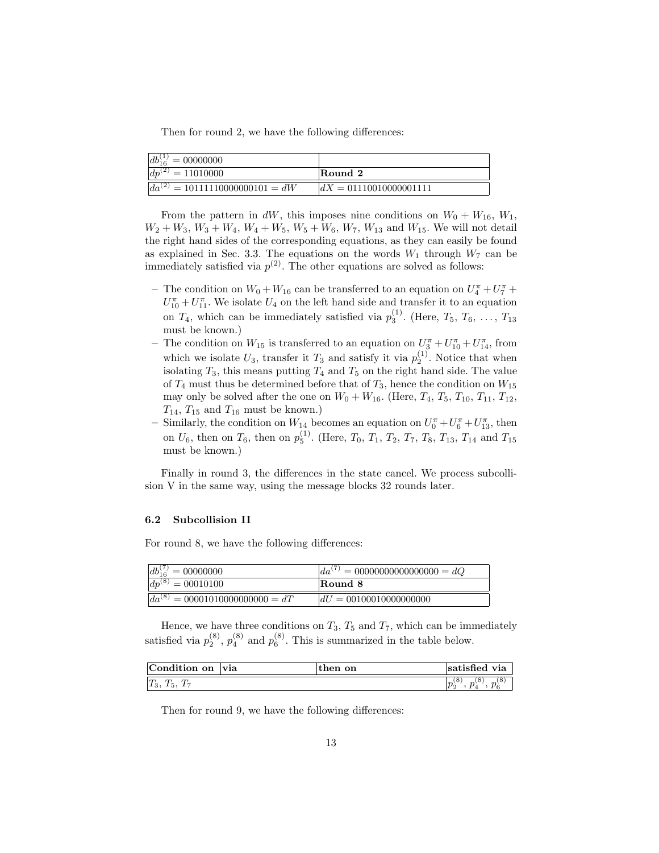Then for round 2, we have the following differences:

| $db_{16}^{(1)} = 00000000$                 |                          |
|--------------------------------------------|--------------------------|
| $dp^{(2)} = 11010000$                      | Round 2                  |
| $\sqrt{da^{(2)} = 10111110000000101} = dW$ | $dX = 01110010000001111$ |

From the pattern in dW, this imposes nine conditions on  $W_0 + W_{16}$ ,  $W_1$ ,  $W_2 + W_3$ ,  $W_3 + W_4$ ,  $W_4 + W_5$ ,  $W_5 + W_6$ ,  $W_7$ ,  $W_{13}$  and  $W_{15}$ . We will not detail the right hand sides of the corresponding equations, as they can easily be found as explained in Sec. 3.3. The equations on the words  $W_1$  through  $W_7$  can be immediately satisfied via  $p^{(2)}$ . The other equations are solved as follows:

- The condition on  $W_0 + W_{16}$  can be transferred to an equation on  $U_4^{\pi} + U_7^{\pi} +$  $U_{10}^{\pi} + U_{11}^{\pi}$ . We isolate  $U_4$  on the left hand side and transfer it to an equation on  $T_4$ , which can be immediately satisfied via  $p_3^{(1)}$ . (Here,  $T_5, T_6, \ldots, T_{13}$ must be known.)
- The condition on  $W_{15}$  is transferred to an equation on  $U_3^{\pi} + U_{10}^{\pi} + U_{14}^{\pi}$ , from which we isolate  $U_3$ , transfer it  $T_3$  and satisfy it via  $p_2^{(1)}$ . Notice that when isolating  $T_3$ , this means putting  $T_4$  and  $T_5$  on the right hand side. The value of  $T_4$  must thus be determined before that of  $T_3$ , hence the condition on  $W_{15}$ may only be solved after the one on  $W_0 + W_{16}$ . (Here,  $T_4$ ,  $T_5$ ,  $T_{10}$ ,  $T_{11}$ ,  $T_{12}$ ,  $T_{14}$ ,  $T_{15}$  and  $T_{16}$  must be known.)
- Similarly, the condition on  $W_{14}$  becomes an equation on  $U_0^{\pi} + U_6^{\pi} + U_{13}^{\pi}$ , then on  $U_6$ , then on  $T_6$ , then on  $p_5^{(1)}$ . (Here,  $T_0$ ,  $T_1$ ,  $T_2$ ,  $T_7$ ,  $T_8$ ,  $T_{13}$ ,  $T_{14}$  and  $T_{15}$ must be known.)

Finally in round 3, the differences in the state cancel. We process subcollision V in the same way, using the message blocks 32 rounds later.

#### 6.2 Subcollision II

For round 8, we have the following differences:

| $db_{16}^{(7)} = 00000000$                     | $da^{(7)} = 00000000000000000 = dQ$ |
|------------------------------------------------|-------------------------------------|
| $dp^{(8)} = 00010100$                          | Round 8                             |
| $\overline{da}^{(8)} = 00001010000000000 = dT$ | $dU = 00100010000000000$            |

Hence, we have three conditions on  $T_3$ ,  $T_5$  and  $T_7$ , which can be immediately satisfied via  $p_2^{(8)}$ ,  $p_4^{(8)}$  and  $p_6^{(8)}$ . This is summarized in the table below.

| $\sim$<br>Condition on<br>$\blacksquare$ | <b>Via</b> | on<br>then | satisfied<br>via                               |
|------------------------------------------|------------|------------|------------------------------------------------|
| $ T_3,$<br>. i<br>, ب -                  |            |            | 8<br>8<br>8<br>$ p\rangle$<br>$\sim$<br>$\sim$ |

Then for round 9, we have the following differences: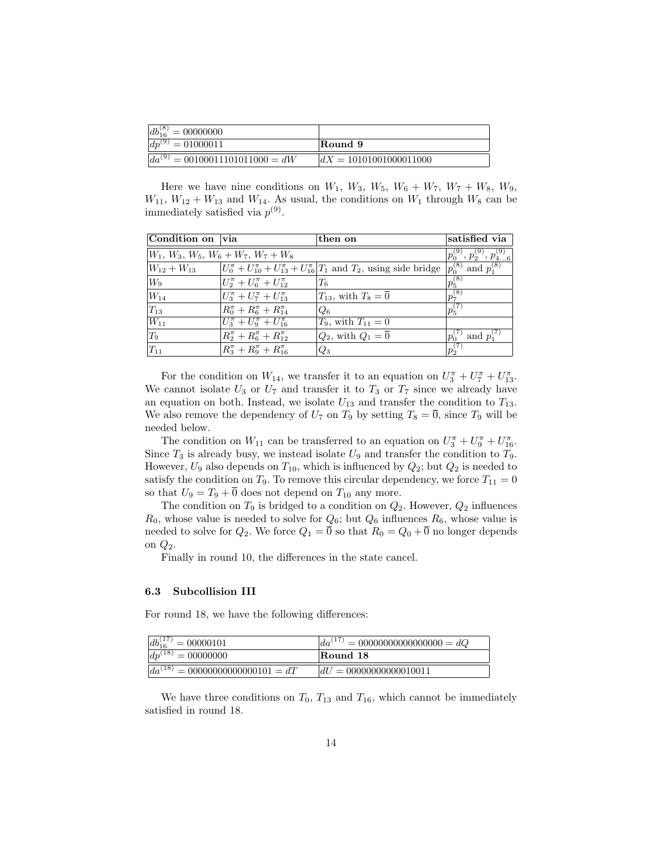| $db_{16}^{(8)} = 00000000$          |                          |
|-------------------------------------|--------------------------|
| $dp^{(9)} = 01000011$               | Round 9                  |
| $da^{(9)} = 00100011101011000 = dW$ | $dX = 10101001000011000$ |

Here we have nine conditions on  $W_1$ ,  $W_3$ ,  $W_5$ ,  $W_6 + W_7$ ,  $W_7 + W_8$ ,  $W_9$ ,  $W_{11}$ ,  $W_{12} + W_{13}$  and  $W_{14}$ . As usual, the conditions on  $W_1$  through  $W_8$  can be immediately satisfied via  $p^{(9)}$ .

| Condition on via                      |                                                                                 | then on                                                                                     | satisfied via               |
|---------------------------------------|---------------------------------------------------------------------------------|---------------------------------------------------------------------------------------------|-----------------------------|
| $W_1, W_3, W_5, W_6 + W_7, W_7 + W_8$ | $p_0^{\left( 9 \right)},\, p_2^{\left( 9 \right)},\, p_{46}^{\left( 9 \right)}$ |                                                                                             |                             |
| $W_{12} + W_{13}$                     |                                                                                 | $ U_0^{\pi} + U_{10}^{\pi} + U_{13}^{\pi} + U_{16}^{\pi} T_1$ and $T_2$ , using side bridge | $p_0^{(8)}$ and $p_1^{(8)}$ |
| $W_9$                                 | $U_2^{\pi} + U_6^{\pi} + U_{12}^{\pi}$                                          | $T_6$                                                                                       | $ p_5^{(8)} $               |
| $W_{14}$                              | $U_3^{\pi} + U_7^{\pi} + U_{13}^{\pi}$                                          | $T_{13}$ , with $T_8 = 0$                                                                   | $p_7^{\overline{(8)}}$      |
| $ T_{13} $                            | $R_0^{\pi} + R_6^{\pi} + R_{14}^{\pi}$                                          | $Q_6$                                                                                       | $ p_5^{(7)} $               |
| $\overline{W_{11}}$                   | $U_3^{\pi} + U_9^{\pi} + U_{16}^{\pi}$                                          | $T_9$ , with $T_{11} = 0$                                                                   |                             |
| $ T_9 $                               | $R_2^{\pi} + R_6^{\pi} + R_{12}^{\pi}$                                          | $Q_2$ , with $Q_1 = \overline{0}$                                                           | $p_0^{(7)}$ and $p_1^{(7)}$ |
| $ T_{11} $                            | $R_3^{\pi} + R_9^{\pi} + R_{16}^{\pi}$                                          | $Q_3$                                                                                       | $ p_2^{(7)} $               |

For the condition on  $W_{14}$ , we transfer it to an equation on  $U_3^{\pi} + U_7^{\pi} + U_{13}^{\pi}$ . We cannot isolate  $U_3$  or  $U_7$  and transfer it to  $T_3$  or  $T_7$  since we already have an equation on both. Instead, we isolate  $U_{13}$  and transfer the condition to  $T_{13}$ . We also remove the dependency of  $U_7$  on  $T_9$  by setting  $T_8 = \overline{0}$ , since  $T_9$  will be needed below.

The condition on  $W_{11}$  can be transferred to an equation on  $U_3^{\pi} + U_9^{\pi} + U_{16}^{\pi}$ . Since  $T_3$  is already busy, we instead isolate  $U_9$  and transfer the condition to  $T_9$ . However,  $U_9$  also depends on  $T_{10}$ , which is influenced by  $Q_2$ ; but  $Q_2$  is needed to satisfy the condition on  $T_9$ . To remove this circular dependency, we force  $T_{11} = 0$ so that  $U_9 = T_9 + \overline{0}$  does not depend on  $T_{10}$  any more.

The condition on  $T_9$  is bridged to a condition on  $Q_2$ . However,  $Q_2$  influences  $R_0$ , whose value is needed to solve for  $Q_6$ ; but  $Q_6$  influences  $R_6$ , whose value is needed to solve for  $Q_2$ . We force  $Q_1 = \overline{0}$  so that  $R_0 = Q_0 + \overline{0}$  no longer depends on  $Q_2$ .

Finally in round 10, the differences in the state cancel.

## 6.3 Subcollision III

For round 18, we have the following differences:

| $db_{16}^{(17)} = 00000101$                  | $\int da^{(17)} = 00000000000000000 = dQ$ |
|----------------------------------------------|-------------------------------------------|
| $dp^{(18)} = 00000000$                       | Round 18                                  |
| $\sqrt{da^{(18)} = 0}$ 0000000000000101 = dT | $dU = 00000000000010011$                  |

We have three conditions on  $T_0$ ,  $T_{13}$  and  $T_{16}$ , which cannot be immediately satisfied in round 18.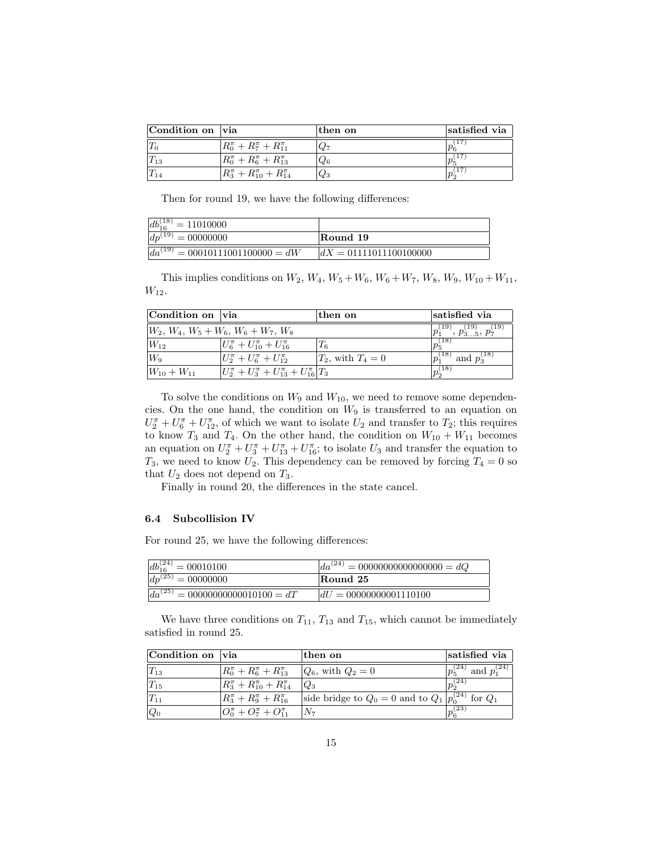| Condition on via |                                           | then on | satisfied via  |
|------------------|-------------------------------------------|---------|----------------|
|                  | $R_0^{\pi} + R_7^{\pi} + R_{11}^{\pi}$    | $Q_7$   | 17             |
|                  | $R_0^{\pi} + R_6^{\pi} + R_{13}^{\pi}$    | $Q_6$   | (17<br>$p_{5}$ |
|                  | $R_3^{\pi} + R_{10}^{\pi} + R_{14}^{\pi}$ | $Q_3$   | (17<br>$p_2$   |

Then for round 19, we have the following differences:

| $ db_{16}^{(18)} $<br>$= 11010000$              |                          |
|-------------------------------------------------|--------------------------|
| $\overline{dp}^{(19)}$<br>$v = 00000000$        | Round 19                 |
| $\overline{da^{(19)}} = 00010111001100000 = dW$ | $dX = 01111011100100000$ |

This implies conditions on  $W_2$ ,  $W_4$ ,  $W_5 + W_6$ ,  $W_6 + W_7$ ,  $W_8$ ,  $W_9$ ,  $W_{10} + W_{11}$ ,  $W_{12}$ .

| Condition on via    |                                                             | then on              | satisfied via                                              |
|---------------------|-------------------------------------------------------------|----------------------|------------------------------------------------------------|
|                     | $\vert W_2, W_4, W_5 + W_6, W_6 + W_7, W_8 \vert$           |                      | $\left  p_1^{(19)},\, p_{35}^{(19)},\, p_7^{(19)} \right $ |
| $\vert W_{12}\vert$ | $U_6^{\pi} + U_{10}^{\pi} + U_{16}^{\pi}$                   | Τś                   | $ p_5^{(18)} $                                             |
| $ W_9 $             | $U_2^{\pi} + U_6^{\pi} + U_{12}^{\pi}$                      | $T_2$ , with $T_4=0$ | $12^{18}$<br>and $p_3^{(18)}$                              |
| $W_{10} + W_{11}$   | $U_2^{\pi} + U_3^{\pi} + U_{13}^{\pi} + U_{16}^{\pi}$ $T_3$ |                      | $ p_2^{(18)} $                                             |

To solve the conditions on  $W_9$  and  $W_{10}$ , we need to remove some dependencies. On the one hand, the condition on  $W_9$  is transferred to an equation on  $U_2^{\pi} + U_6^{\pi} + U_{12}^{\pi}$ , of which we want to isolate  $U_2$  and transfer to  $T_2$ ; this requires to know  $T_3$  and  $T_4$ . On the other hand, the condition on  $W_{10} + W_{11}$  becomes an equation on  $U_2^{\pi} + U_3^{\pi} + U_{13}^{\pi} + U_{16}^{\pi}$ ; to isolate  $U_3$  and transfer the equation to  $T_3$ , we need to know  $U_2$ . This dependency can be removed by forcing  $T_4 = 0$  so that  $U_2$  does not depend on  $T_3$ .

Finally in round 20, the differences in the state cancel.

## 6.4 Subcollision IV

For round 25, we have the following differences:

| $db_{16}^{(24)} = 00010100$                 | $ da^{(24)}  = 000000000000000000 = dQ$ |
|---------------------------------------------|-----------------------------------------|
| $dp^{(25)} = 00000000$                      | Round 25                                |
| $\sqrt{da^{(25)}} = 00000000000010100 = dT$ | $dU = 00000000001110100$                |

We have three conditions on  $T_{11}$ ,  $T_{13}$  and  $T_{15}$ , which cannot be immediately satisfied in round 25.

| Condition on via    |                                           | then on                                                               | satisfied via                 |  |
|---------------------|-------------------------------------------|-----------------------------------------------------------------------|-------------------------------|--|
| $ T_{13} $          | $R_0^{\pi} + R_6^{\pi} + R_{13}^{\pi}$    | $ Q_6 $ , with $Q_2=0$                                                | $p_5^{(24)}$ and $p_1^{(24)}$ |  |
| $\vert T_{15}\vert$ | $R_3^{\pi} + R_{10}^{\pi} + R_{14}^{\pi}$ | $Q_3$                                                                 | $ p_2^{(24)} $                |  |
| $ T_{11} $          | $R_3^{\pi} + R_9^{\pi} + R_{16}^{\pi}$    | side bridge to $Q_0 = 0$ and to $Q_1 \overline{p_0^{(24)}}$ for $Q_1$ |                               |  |
| $ Q_0$              | $ O_0^{\pi}+O_7^{\pi}+O_{11}^{\pi} $      |                                                                       | $p_6^{(23)}$                  |  |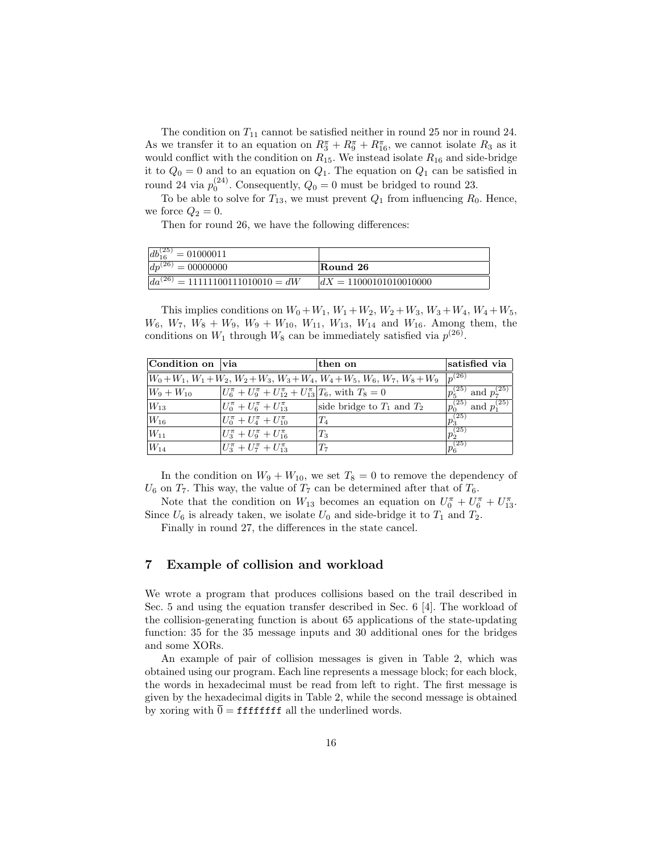The condition on  $T_{11}$  cannot be satisfied neither in round 25 nor in round 24. As we transfer it to an equation on  $R_3^{\pi} + R_9^{\pi} + R_{16}^{\pi}$ , we cannot isolate  $R_3$  as it would conflict with the condition on  $R_{15}$ . We instead isolate  $R_{16}$  and side-bridge it to  $Q_0 = 0$  and to an equation on  $Q_1$ . The equation on  $Q_1$  can be satisfied in round 24 via  $p_0^{(24)}$ . Consequently,  $Q_0 = 0$  must be bridged to round 23.

To be able to solve for  $T_{13}$ , we must prevent  $Q_1$  from influencing  $R_0$ . Hence, we force  $Q_2 = 0$ .

Then for round 26, we have the following differences:

| $\overline{db_{16}^{(25)}}$<br>$\prime = 01000011$ |                          |
|----------------------------------------------------|--------------------------|
| $dp^{(26)}$<br>$= 00000000$                        | Round 26                 |
| $da^{(26)} = 11111100111010010 = dW$               | $dX = 11000101010010000$ |

This implies conditions on  $W_0 + W_1$ ,  $W_1 + W_2$ ,  $W_2 + W_3$ ,  $W_3 + W_4$ ,  $W_4 + W_5$ ,  $W_6$ ,  $W_7$ ,  $W_8 + W_9$ ,  $W_9 + W_{10}$ ,  $W_{11}$ ,  $W_{13}$ ,  $W_{14}$  and  $W_{16}$ . Among them, the conditions on  $W_1$  through  $W_8$  can be immediately satisfied via  $p^{(26)}$ .

| Condition on via                                                                      |                                                                              | $then$ on                      | satisfied via                    |  |
|---------------------------------------------------------------------------------------|------------------------------------------------------------------------------|--------------------------------|----------------------------------|--|
| $W_0+W_1$ , $W_1+W_2$ , $W_2+W_3$ , $W_3+W_4$ , $W_4+W_5$ , $W_6$ , $W_7$ , $W_8+W_9$ | $ p^{(26)} $                                                                 |                                |                                  |  |
| $W_9+W_{10}$                                                                          | $U_6^{\pi} + U_9^{\pi} + U_{12}^{\pi} + U_{13}^{\pi}$ $T_6$ , with $T_8 = 0$ |                                | and $p_7^{(25)}$<br>(25)         |  |
| $W_{13}$                                                                              | $U_0^{\pi} + U_6^{\pi} + U_{13}^{\pi}$                                       | side bridge to $T_1$ and $T_2$ | and $p_1^{(25)}$<br>$p_0^{(25)}$ |  |
| $W_{16}$                                                                              | $U_0^{\pi} + U_4^{\pi} + U_{10}^{\pi}$                                       | $T_{4}$                        | $p_3^{(25)}$                     |  |
| $W_{11}$                                                                              | $U_3^{\pi} + U_9^{\pi} + U_{16}^{\pi}$                                       | $T_3$                          | $ p_2^{(25)} $                   |  |
| $W_{14}$                                                                              | $U_3^{\pi} + U_7^{\pi} + U_{13}^{\pi}$                                       | Τ7                             | $p_6^{\overline{(25)}}$          |  |

In the condition on  $W_9 + W_{10}$ , we set  $T_8 = 0$  to remove the dependency of  $U_6$  on  $T_7$ . This way, the value of  $T_7$  can be determined after that of  $T_6$ .

Note that the condition on  $W_{13}$  becomes an equation on  $U_0^{\pi} + U_6^{\pi} + U_{13}^{\pi}$ . Since  $U_6$  is already taken, we isolate  $U_0$  and side-bridge it to  $T_1$  and  $T_2$ .

Finally in round 27, the differences in the state cancel.

## 7 Example of collision and workload

We wrote a program that produces collisions based on the trail described in Sec. 5 and using the equation transfer described in Sec. 6 [4]. The workload of the collision-generating function is about 65 applications of the state-updating function: 35 for the 35 message inputs and 30 additional ones for the bridges and some XORs.

An example of pair of collision messages is given in Table 2, which was obtained using our program. Each line represents a message block; for each block, the words in hexadecimal must be read from left to right. The first message is given by the hexadecimal digits in Table 2, while the second message is obtained by xoring with  $\overline{0} =$  ffffffff all the underlined words.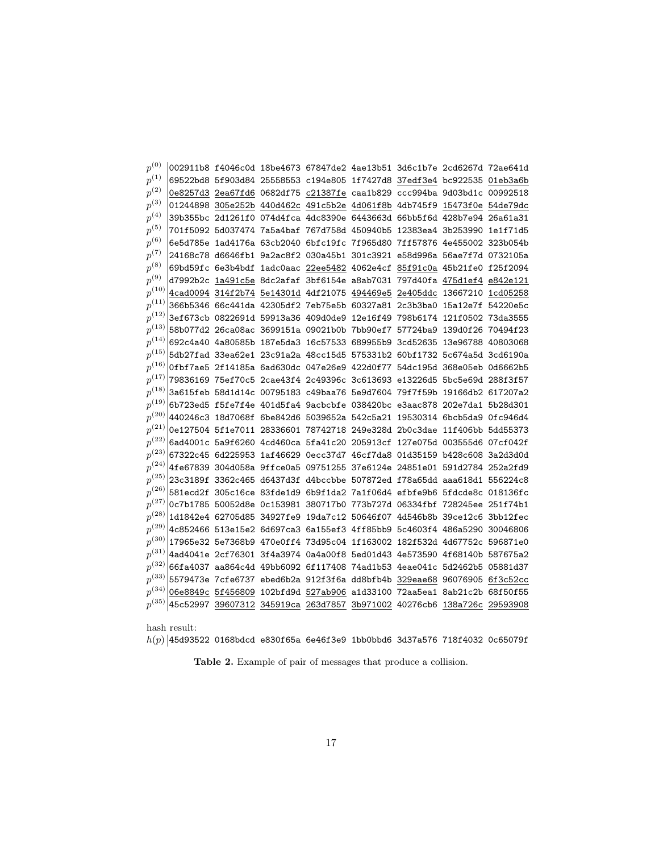| $p^{(0)}$  |  |  | 002911b8 f4046c0d 18be4673 67847de2 4ae13b51 3d6c1b7e 2cd6267d 72ae641d        |  |  |
|------------|--|--|--------------------------------------------------------------------------------|--|--|
| $p^{(1)}$  |  |  | 69522bd8 5f903d84 25558553 c194e805 1f7427d8 37edf3e4 bc922535 01eb3a6b        |  |  |
| $p^{(2)}$  |  |  | 0e8257d3  2ea67fd6  0682df75  c21387fe  caa1b829  ccc994ba  9d03bd1c  00992518 |  |  |
| $p^{(3)}$  |  |  | 01244898 305e252b 440d462c 491c5b2e 4d061f8b 4db745f9 15473f0e 54de79dc        |  |  |
| $p^{(4)}$  |  |  | 39b355bc 2d1261f0 074d4fca 4dc8390e 6443663d 66bb5f6d 428b7e94 26a61a31        |  |  |
| $p^{(5)}$  |  |  | 701f5092 5d037474 7a5a4baf 767d758d 450940b5 12383ea4 3b253990 1e1f71d5        |  |  |
| $p^{(6)}$  |  |  | 6e5d785e 1ad4176a 63cb2040 6bfc19fc 7f965d80 7ff57876 4e455002 323b054b        |  |  |
| $p^{(7)}$  |  |  | 24168c78 d6646fb1 9a2ac8f2 030a45b1 301c3921 e58d996a 56ae7f7d 0732105a        |  |  |
| $p^{(8)}$  |  |  | 69bd59fc 6e3b4bdf 1adc0aac 22ee5482 4062e4cf 85f91c0a 45b21fe0 f25f2094        |  |  |
| $p^{(9)}$  |  |  | d7992b2c 1a491c5e 8dc2afaf 3bf6154e a8ab7031 797d40fa 475d1ef4 e842e121        |  |  |
| $p^{(10)}$ |  |  | 4cad0094 314f2b74 5e14301d 4df21075 494469e5 2e405ddc 13667210 1cd05258        |  |  |
| $p^{(11)}$ |  |  | 366b5346 66c441da 42305df2 7eb75e5b 60327a81 2c3b3ba0 15a12e7f 54220e5c        |  |  |
| $p^{(12)}$ |  |  | 3ef673cb 0822691d 59913a36 409d0de9 12e16f49 798b6174 121f0502 73da3555        |  |  |
| $p^{(13)}$ |  |  | 58b077d2 26ca08ac 3699151a 09021b0b 7bb90ef7 57724ba9 139d0f26 70494f23        |  |  |
| $p^{(14)}$ |  |  | 692c4a40  4a80585b  187e5da3  16c57533  689955b9  3cd52635  13e96788  40803068 |  |  |
| $p^{(15)}$ |  |  | 5db27fad 33ea62e1 23c91a2a 48cc15d5 575331b2 60bf1732 5c674a5d 3cd6190a        |  |  |
| $p^{(16)}$ |  |  | 0fbf7ae5 2f14185a 6ad630dc 047e26e9 422d0f77 54dc195d 368e05eb 0d6662b5        |  |  |
| $p^{(17)}$ |  |  | 79836169  75ef70c5  2cae43f4  2c49396c  3c613693  e13226d5  5bc5e69d  288f3f57 |  |  |
| $p^{(18)}$ |  |  | 3a615feb 58d1d14c 00795183 c49baa76 5e9d7604 79f7f59b 19166db2 617207a2        |  |  |
| $p^{(19)}$ |  |  | 6b723ed5 f5fe7f4e 401d5fa4 9acbcbfe 038420bc e3aac878 202e7da1 5b28d301        |  |  |
| $p^{(20)}$ |  |  | 440246c3 18d7068f 6be842d6 5039652a 542c5a21 19530314 6bcb5da9 0fc946d4        |  |  |
| $p^{(21)}$ |  |  | 0e127504 5f1e7011 28336601 78742718 249e328d 2b0c3dae 11f406bb 5dd55373        |  |  |
| $p^{(22)}$ |  |  | 6ad4001c 5a9f6260 4cd460ca 5fa41c20 205913cf 127e075d 003555d6 07cf042f        |  |  |
| $p^{(23)}$ |  |  | 67322c45 6d225953 1af46629 0ecc37d7 46cf7da8 01d35159 b428c608 3a2d3d0d        |  |  |
| $p^{(24)}$ |  |  | 4fe67839 304d058a 9ffce0a5 09751255 37e6124e 24851e01 591d2784 252a2fd9        |  |  |
| $p^{(25)}$ |  |  | 23c3189f 3362c465 d6437d3f d4bccbbe 507872ed f78a65dd aaa618d1 556224c8        |  |  |
| $p^{(26)}$ |  |  | 581ecd2f 305c16ce 83fde1d9 6b9f1da2 7a1f06d4 efbfe9b6 5fdcde8c 018136fc        |  |  |
| $p^{(27)}$ |  |  | 0c7b1785 50052d8e 0c153981 380717b0 773b727d 06334fbf 728245ee 251f74b1        |  |  |
| $p^{(28)}$ |  |  | 1d1842e4 62705d85 34927fe9 19da7c12 50646f07 4d546b8b 39ce12c6 3bb12fec        |  |  |
| $p^{(29)}$ |  |  | 4c852466 513e15e2 6d697ca3 6a155ef3 4ff85bb9 5c4603f4 486a5290 30046806        |  |  |
| $p^{(30)}$ |  |  | 17965e32 5e7368b9 470e0ff4 73d95c04 1f163002 182f532d 4d67752c 596871e0        |  |  |
| $p^{(31)}$ |  |  | 4ad4041e 2cf76301 3f4a3974 0a4a00f8 5ed01d43 4e573590 4f68140b 587675a2        |  |  |
| $p^{(32)}$ |  |  | 66fa4037 aa864c4d 49bb6092 6f117408 74ad1b53 4eae041c 5d2462b5 05881d37        |  |  |
| $p^{(33)}$ |  |  | 5579473e 7cfe6737 ebed6b2a 912f3f6a dd8bfb4b 329eae68 96076905 6f3c52cc        |  |  |
| $p^{(34)}$ |  |  | 06e8849c 5f456809 102bfd9d 527ab906 a1d33100 72aa5ea1 8ab21c2b 68f50f55        |  |  |
| $p^{(35)}$ |  |  | 45c52997 39607312 345919ca 263d7857 3b971002 40276cb6 138a726c 29593908        |  |  |

hash result:

 $h(p)\,$  45d93522 0168bdcd e830f65a 6e46f3e9 1bb0bbd6 3d37a576 718f4032 0c65079f

Table 2. Example of pair of messages that produce a collision.